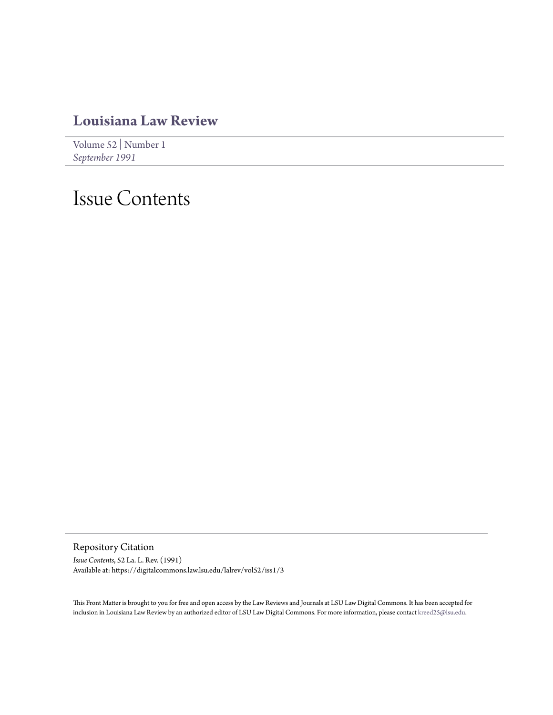### **[Louisiana Law Review](https://digitalcommons.law.lsu.edu/lalrev)**

[Volume 52](https://digitalcommons.law.lsu.edu/lalrev/vol52) | [Number 1](https://digitalcommons.law.lsu.edu/lalrev/vol52/iss1) *[September 1991](https://digitalcommons.law.lsu.edu/lalrev/vol52/iss1)*

## Issue Contents

Repository Citation

*Issue Contents*, 52 La. L. Rev. (1991) Available at: https://digitalcommons.law.lsu.edu/lalrev/vol52/iss1/3

This Front Matter is brought to you for free and open access by the Law Reviews and Journals at LSU Law Digital Commons. It has been accepted for inclusion in Louisiana Law Review by an authorized editor of LSU Law Digital Commons. For more information, please contact [kreed25@lsu.edu](mailto:kreed25@lsu.edu).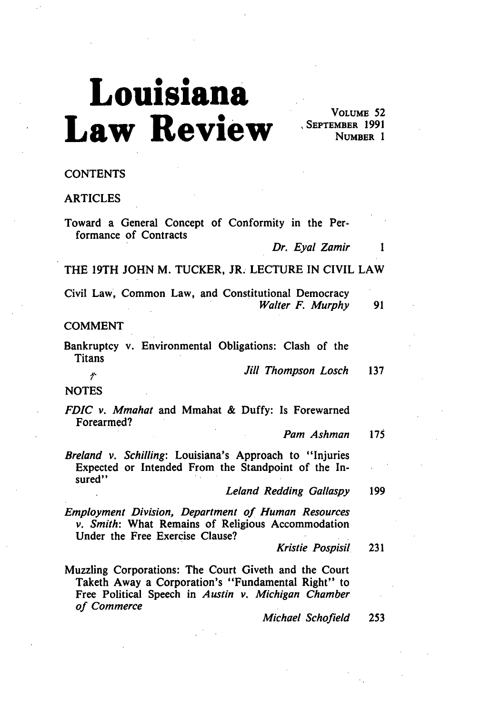# Louisiana Law Review SEPTEMBER 1991

**NUMBER 1** 

### **CONTENTS**

#### ARTICLES

Toward a General Concept of Conformity in the Performance of Contracts

> *Dr. Eyal Zamir* 1

THE 19TH **JOHN** M. TUCKER, JR. **LECTURE IN** CIVIL LAW

|  |  | Civil Law, Common Law, and Constitutional Democracy |  |                  |    |
|--|--|-----------------------------------------------------|--|------------------|----|
|  |  |                                                     |  | Walter F. Murphy | 91 |

**COMMENT**

外

Bankruptcy v. Environmental Obligations: Clash of the **Titans** 

*Jill Thompson Losch* **137**

**NOTES**

*FDIC v. Mmahat* and Mmahat **&** Duffy: Is Forewarned Forearmed?

*Pam Ashman 175*

*Breland v. Schilling:* Louisiana's Approach to "Injuries Expected or Intended From the Standpoint of the Insured"

*Leland Redding Gallaspy* **199**

*Employment Division, Department of Human Resources v. Smith:* What Remains of Religious Accommodation Under the Free Exercise Clause?

*Kristie Pospisil* **231**

Muzzling Corporations: The Court Giveth and the Court Taketh Away a Corporation's "Fundamental Right" to Free Political Speech in *Austin v. Michigan Chamber of Commerce*

*Michael Schofield* **253**